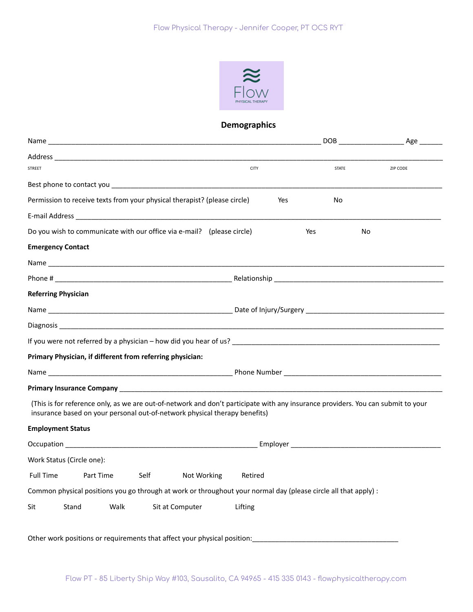

## **Demographics**

| STREET                                                                                                                                                                                                                                                    | <b>CITY</b>            | <b>STATE</b> | ZIP CODE |
|-----------------------------------------------------------------------------------------------------------------------------------------------------------------------------------------------------------------------------------------------------------|------------------------|--------------|----------|
|                                                                                                                                                                                                                                                           |                        |              |          |
| Permission to receive texts from your physical therapist? (please circle)                                                                                                                                                                                 |                        | Yes<br>No    |          |
|                                                                                                                                                                                                                                                           |                        |              |          |
| Do you wish to communicate with our office via e-mail? (please circle)                                                                                                                                                                                    |                        | Yes          | No       |
| <b>Emergency Contact</b>                                                                                                                                                                                                                                  |                        |              |          |
|                                                                                                                                                                                                                                                           |                        |              |          |
|                                                                                                                                                                                                                                                           |                        |              |          |
| <b>Referring Physician</b>                                                                                                                                                                                                                                |                        |              |          |
|                                                                                                                                                                                                                                                           |                        |              |          |
|                                                                                                                                                                                                                                                           |                        |              |          |
|                                                                                                                                                                                                                                                           |                        |              |          |
|                                                                                                                                                                                                                                                           |                        |              |          |
|                                                                                                                                                                                                                                                           |                        |              |          |
|                                                                                                                                                                                                                                                           |                        |              |          |
|                                                                                                                                                                                                                                                           |                        |              |          |
| (This is for reference only, as we are out-of-network and don't participate with any insurance providers. You can submit to your<br>insurance based on your personal out-of-network physical therapy benefits)                                            |                        |              |          |
|                                                                                                                                                                                                                                                           |                        |              |          |
|                                                                                                                                                                                                                                                           |                        |              |          |
|                                                                                                                                                                                                                                                           |                        |              |          |
| Part Time<br>Self                                                                                                                                                                                                                                         | Not Working<br>Retired |              |          |
| Primary Physician, if different from referring physician:<br><b>Employment Status</b><br>Work Status (Circle one):<br><b>Full Time</b><br>Common physical positions you go through at work or throughout your normal day (please circle all that apply) : |                        |              |          |

Flow PT - 85 Liberty Ship Way #103, Sausalito, CA 94965 - 415 335 0143 - flowphysicaltherapy.com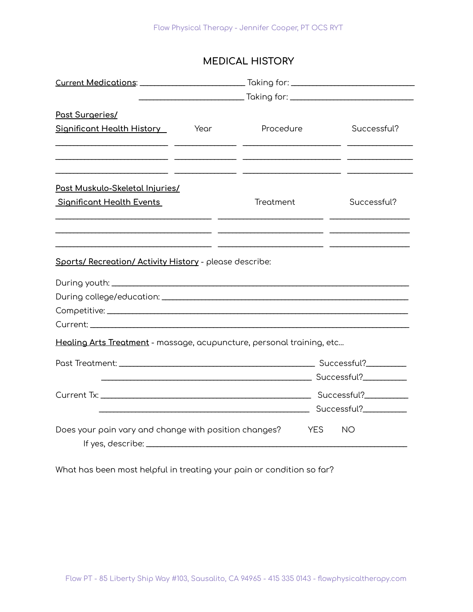# **MEDICAL HISTORY**

| Past Surgeries/                                                       |      |            |             |  |
|-----------------------------------------------------------------------|------|------------|-------------|--|
| Significant Health History                                            | Year | Procedure  | Successful? |  |
|                                                                       |      |            |             |  |
| <u>Past Muskulo-Skeletal Injuries/</u>                                |      |            |             |  |
| <b>Significant Health Events</b>                                      |      | Treatment  | Successful? |  |
| Sports/ Recreation/ Activity History - please describe:               |      |            |             |  |
| Healing Arts Treatment - massage, acupuncture, personal training, etc |      |            |             |  |
|                                                                       |      |            |             |  |
|                                                                       |      |            |             |  |
|                                                                       |      |            |             |  |
|                                                                       |      |            |             |  |
| Does your pain vary and change with position changes?                 |      | <b>YES</b> | NO.         |  |

What has been most helpful in treating your pain or condition so far?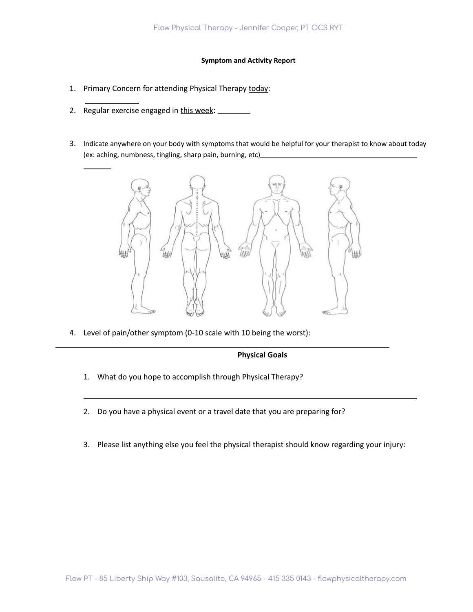#### **Symptom and Activity Report**

- 1. Primary Concern for attending Physical Therapy today:
- 2. Regular exercise engaged in this week: \_\_\_\_\_\_\_
- 3. Indicate anywhere on your body with symptoms that would be helpful for your therapist to know about today (ex: aching, numbness, tingling, sharp pain, burning, etc)



4. Level of pain/other symptom (0-10 scale with 10 being the worst):

#### **Physical Goals**

- 1. What do you hope to accomplish through Physical Therapy?
- 2. Do you have a physical event or a travel date that you are preparing for?
- 3. Please list anything else you feel the physical therapist should know regarding your injury: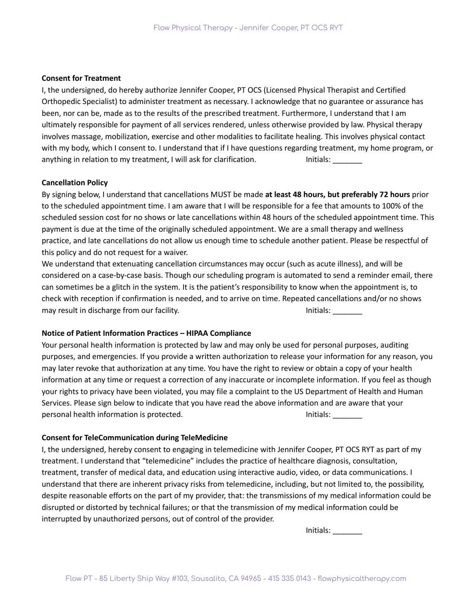#### **Consent for Treatment**

I, the undersigned, do hereby authorize Jennifer Cooper, PT OCS (Licensed Physical Therapist and Certified Orthopedic Specialist) to administer treatment as necessary. I acknowledge that no guarantee or assurance has been, nor can be, made as to the results of the prescribed treatment. Furthermore, I understand that I am ultimately responsible for payment of all services rendered, unless otherwise provided by law. Physical therapy involves massage, mobilization, exercise and other modalities to facilitate healing. This involves physical contact with my body, which I consent to. I understand that if I have questions regarding treatment, my home program, or anything in relation to my treatment, I will ask for clarification. **Initials:** Initials:

## **Cancellation Policy**

By signing below, I understand that cancellations MUST be made **at least 48 hours, but preferably 72 hours** prior to the scheduled appointment time. I am aware that I will be responsible for a fee that amounts to 100% of the scheduled session cost for no shows or late cancellations within 48 hours of the scheduled appointment time. This payment is due at the time of the originally scheduled appointment. We are a small therapy and wellness practice, and late cancellations do not allow us enough time to schedule another patient. Please be respectful of this policy and do not request for a waiver.

We understand that extenuating cancellation circumstances may occur (such as acute illness), and will be considered on a case-by-case basis. Though our scheduling program is automated to send a reminder email, there can sometimes be a glitch in the system. It is the patient's responsibility to know when the appointment is, to check with reception if confirmation is needed, and to arrive on time. Repeated cancellations and/or no shows may result in discharge from our facility. Initials: \_\_\_\_\_\_\_\_\_\_\_\_\_\_\_\_\_\_\_\_\_\_\_\_\_\_\_

## **Notice of Patient Information Practices – HIPAA Compliance**

Your personal health information is protected by law and may only be used for personal purposes, auditing purposes, and emergencies. If you provide a written authorization to release your information for any reason, you may later revoke that authorization at any time. You have the right to review or obtain a copy of your health information at any time or request a correction of any inaccurate or incomplete information. If you feel as though your rights to privacy have been violated, you may file a complaint to the US Department of Health and Human Services. Please sign below to indicate that you have read the above information and are aware that your personal health information is protected. Initials: \_\_\_\_\_\_\_\_\_\_\_\_\_\_\_\_\_\_\_\_\_\_\_\_\_\_\_\_

## **Consent for TeleCommunication during TeleMedicine**

I, the undersigned, hereby consent to engaging in telemedicine with Jennifer Cooper, PT OCS RYT as part of my treatment. I understand that "telemedicine" includes the practice of healthcare diagnosis, consultation, treatment, transfer of medical data, and education using interactive audio, video, or data communications. I understand that there are inherent privacy risks from telemedicine, including, but not limited to, the possibility, despite reasonable efforts on the part of my provider, that: the transmissions of my medical information could be disrupted or distorted by technical failures; or that the transmission of my medical information could be interrupted by unauthorized persons, out of control of the provider.

Initials: \_\_\_\_\_\_\_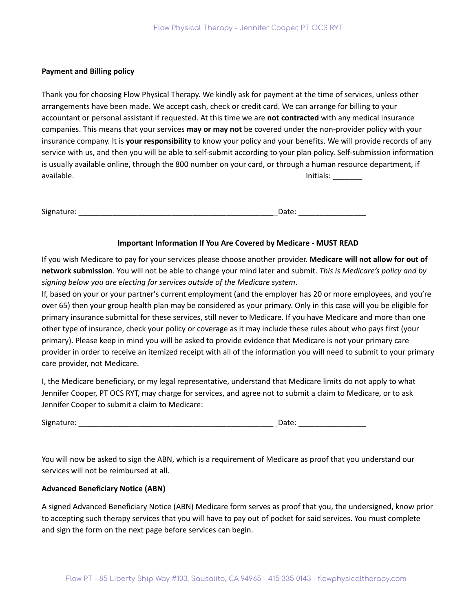## **Payment and Billing policy**

Thank you for choosing Flow Physical Therapy. We kindly ask for payment at the time of services, unless other arrangements have been made. We accept cash, check or credit card. We can arrange for billing to your accountant or personal assistant if requested. At this time we are **not contracted** with any medical insurance companies. This means that your services **may or may not** be covered under the non-provider policy with your insurance company. It is **your responsibility** to know your policy and your benefits. We will provide records of any service with us, and then you will be able to self-submit according to your plan policy. Self-submission information is usually available online, through the 800 number on your card, or through a human resource department, if available. Initials: \_\_\_\_\_\_\_

Signature: \_\_\_\_\_\_\_\_\_\_\_\_\_\_\_\_\_\_\_\_\_\_\_\_\_\_\_\_\_\_\_\_\_\_\_\_\_\_\_\_\_\_\_\_\_\_ Date: \_\_\_\_\_\_\_\_\_\_\_\_\_\_\_\_

## **Important Information If You Are Covered by Medicare - MUST READ**

If you wish Medicare to pay for your services please choose another provider. **Medicare will not allow for out of network submission**. You will not be able to change your mind later and submit. *This is Medicare's policy and by signing below you are electing for services outside of the Medicare system*.

If, based on your or your partner's current employment (and the employer has 20 or more employees, and you're over 65) then your group health plan may be considered as your primary. Only in this case will you be eligible for primary insurance submittal for these services, still never to Medicare. If you have Medicare and more than one other type of insurance, check your policy or coverage as it may include these rules about who pays first (your primary). Please keep in mind you will be asked to provide evidence that Medicare is not your primary care provider in order to receive an itemized receipt with all of the information you will need to submit to your primary care provider, not Medicare.

I, the Medicare beneficiary, or my legal representative, understand that Medicare limits do not apply to what Jennifer Cooper, PT OCS RYT, may charge for services, and agree not to submit a claim to Medicare, or to ask Jennifer Cooper to submit a claim to Medicare:

Signature: \_\_\_\_\_\_\_\_\_\_\_\_\_\_\_\_\_\_\_\_\_\_\_\_\_\_\_\_\_\_\_\_\_\_\_\_\_\_\_\_\_\_\_\_\_\_ Date: \_\_\_\_\_\_\_\_\_\_\_\_\_\_\_\_

You will now be asked to sign the ABN, which is a requirement of Medicare as proof that you understand our services will not be reimbursed at all.

#### **Advanced Beneficiary Notice (ABN)**

A signed Advanced Beneficiary Notice (ABN) Medicare form serves as proof that you, the undersigned, know prior to accepting such therapy services that you will have to pay out of pocket for said services. You must complete and sign the form on the next page before services can begin.